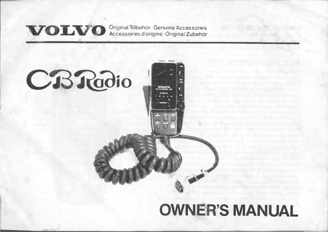# **VOLVO** Original Tillbehör Genuine Accessories<br>Accessoires d'origine Original Zubehör

# **CBRadio**

# **OWNER'S MANUAL**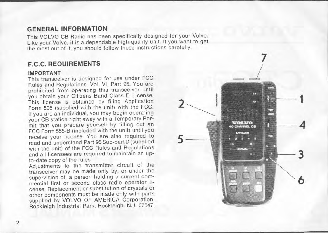# **GENERAL INFORMATION**

This VOLVO CB Radio has been specifically designed for your Volvo. Like your Volvo, it is a dependable high-quality unit. If you want to get the most out of it, you should follow these instructions carefully.

# **F.C.C. RE QUIREMENTS**

#### **IMPOR TANT**

This transceiver is designed for use under FCC Rules and Regulations, Vol. VI, Part 95. You are prohibited from operating this transceiver until you obtain your Citizens Band Class D License. This license is obtained by filing Application Form 505 (supplied with the unit) with the FCC. If you are an individual, you may begin operating your CB station right away with a Temporary Permit that you prepare yourself by filling out an FCC Form 555-B (included with the unit) until you receive your license. You are also required to read and understand Part 95 Sub-part D (supplied with the unit) of the FCC Rules and Regulations and all licensees are required to maintain an upto-date copy of the rules.

Adjustments to the transmitter circuit of the transceiver may be made only by, or under the supervision of, a person holding a current commerciai first or second class radio operator license. Replacement or substitution of crystals or other components must be made only with parts supp lied by VOLVO OF AMERICA Corporation, Rock leigh Industrial Park, Rockleigh. N.J. 07647.

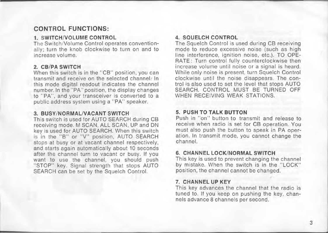# **CONTROL FUNCTIONS:**

#### **1. SWITCH/VOLUME CONTROL**

The Switch/Volume Control operates conventionally; turn the knob clockwise to turn on and to increase volume.

#### **2. CB/PA SWITCH**

When this switch is in the "CB" position, you can transmit and receive on the selected channel: In this mode digital readout indicates the channel number. In the "PA" position, the display changes to "PA", and your transceiver is converted to a public address system using a "PA" speaker.

#### 3. **BUSY/NORMALIVACANT SWITCH**

This switch is used for AUTO SEARCH during CB receiving mode. M SCAN, ALL SCAN, UP and DN key is used for AUTO SEARCH. When this switch is in the "B" or "V" position, AUTO SEARCH stops at busy or at vacant channel respectively. and starts again automatically about 10 seconds after the channel turn to vacant or busy. If you want to use the channel, you should push "STOP" key. Signal strength that stops AUTO SEARCH can be set by the Squelch ControI.

#### **4. SQUELCH CONTROL**

The Squelch Control is used during CB receiving mode to reduce excessive noise (such as high line interference, ignition noise, etc.). TO OPE-RATE: Turn control fully counterclockwise then increase volume until noise or a signal is heard. While only noise is present, turn Squelch Controi clockwise until the noise disappears. The control is also used to set the level that stops AUTO SEARCH. CONTROL MUST BE TURNED OFF WHEN RECEIVING WEAK STATIONS.

#### **5. PUSH TO TALK BUTTON**

Push in "on" button to transmit and release to receive when radio is set for CB operation. You must also push the bulton to speak in PA operation. In transmit mode, you cannot change the channel.

#### **6. CHANNEL LOCK/ NORMAL SWITCH**

This key is used to prevent changing the channel by mistake. When the switch is in the "LOCK" position, the channel cannot be changed.

#### 7. **CHANNEL UP KEY**

This key advances the channel that the radio is tuned to. If you keep on pushing the key, channels advance 8 channels per second.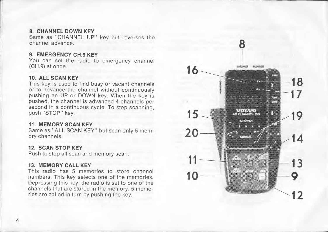#### **8. CHANNEL DOWN KEY**

Same as " CHANNEL UP" key but reverses the channel advance.

#### **9. EMERGENCY CH.9 KEY**

You can set the radio to emergency channel (CH.9) at once.

#### **10. ALL SCAN KEY**

This key is used to find busy or vacant channels or to advance the channel without continuously pushing an UP or DOWN key. When the key is pushed, the channel is advanced 4 channels per second in a continuous cycle. To stop scanning, push "STOP" key.

#### **11. MEMORY SCAN KEY**

Same as "ALL SCAN KEY" but scan only 5 memory channels.

#### **12. SCAN STOP KEY**

Push to stop all scan and memory scan.

#### **13. MEMORY CALL KEY**

This radio has 5 memories to store channel numbers. This key selects one of the memories. Depressing this key, the radio is set to one of the channels that are stored in the memory. 5 memories are called in turn by pushing the key.

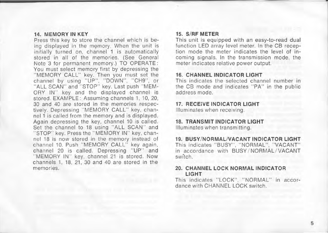#### 14. MEMORY IN KEY

Press this key to store the channel which is being displayed in the memory. When the unit is initially turned on, channel 1 is automatically stored in all of the memories. (See General Note 3 for permanent memory.) TO OPERATE: You must select memory first by depressing the "MEMORY CALL" key. Then you must set the channel by using "UP", "DOWN", "CH9", or " ALL SCAN" and "STOP" key. Last push " MEM-ORV IN" key and the displayed channel is stored. EXAMPLE : Assuming channels 1, 10, 20, 30 and 40 are stored in the memories respectively. Depressing "MEMORY CALL" key, channel 1 is called from the memory and is displayed. Again depressing the key, channel 10 is called. Set the channel to 18 using "ALL SCAN" and "STOP" key. Press the "MEMORY IN" key, channel 18 is now stored in the memory instead of channel 10. Push "MEMORY CALL" key again, channel 20 is called. Depressing "UP" and " MEMORY IN" key, channel 21 is stored. Now channels 1, 18, 21, 30 and 40 are stored in the **memories.** 

#### 15. S/RF METER

This unit is equipped with an easy-to-read dual function LED array level meter. In the CB reception mode the meter indicates the level of incoming signals. In the transmission mode, the meter indicates relative power output.

#### 16. CHANNEL INDICATOR LIGHT

This indicates the selected channel number in the CB mode and indicates "PA" in the public address mode.

#### 17. RECEIVE INDICATOR LIGHT

Illuminates when receiving.

#### 18. TRANSMIT INDICATOR LIGHT

Illuminates when transmitting.

19. BUSY/NORMAL/VACANT INDICATOR LIGHT This indicates "BUSY", "NORMAL", "VACANT" in accordance with BUSY/NORMAL/VACANT switch.

#### 20. CHANNEL LOCK NORMAL INDICATOR LIGHT

This indicates "LOCK", "NORMAL" in accordance with CHANNEL LOCK switch.

i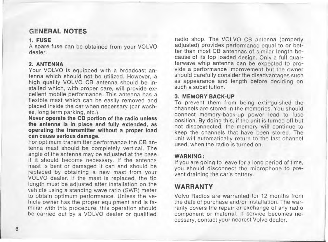# **GENERAL NOTES**

#### 1. **FUSE**

Aspare fuse can be obtained from your VOLVO dealer.

#### 2. **ANTENNA**

Your VOLVO is equipped with a broadcast antenna which should not be utilized. However, a high quaiity VOLVO CB antenna should be installed which, with proper care. will provide excellent mobile performance. This antenna has a flexible mast which can be easily removed and placed inside the ear when necessary (ear washes, long term parking, etc.).

Never operate the CB portion of the radio uniess the antenna is in place and fully extended, as operating the transmitter without a proper load can cause serious damage.

For optimum transmitter performance the CB antenna mast should be completely vertical. The angle of the antenna may be adjusted at the base if it should become necessary. If the antenna mast is bent or damaged it can and should be replaced by obtaining a new mast from your VOLVO dealer. If the mast is replaced. the tip length must be adjusted after installation on the vehicle using a standing wave ratio (SWR) meter to obtain optimum performance. Uniess the vehicle owner has the proper equipment and is familiar with this procedure, this operation should be carried out by a VOLVO dealer or qualified

radio shop. The VOLVO CB antenna (properly adiusted) provides performance equal to or better than most CB antennas of similar length because of its top loaded design. Only a full quarterwave whip antenna can be expected to provide a performance improvement but the owner should carefully consider the disadvantages such as appearance and length before deciding on such a substitution.

#### 3. MEMORY BACK-UP

To prevent them from being extinguished the channels are stored in the memories. You should connect memory-back-up power lead to fuse position. By doing this, if the unit is turned off but not disconnected, the memory will continue to keep the channels that have been stored. The unit will automatically return to the last channel used, when the radio is turned on.

#### WARNING:

If you are going to leave for a long period of time, you should disconnect the microphone to prevent draining the car's battery.

# **WARRANTY**

Volvo Radios are warranted for 12 months from the date of purchase and/or installation. The warranty covers the repair or exchange of any radio component or material. If service becomes necessary, contact your nearest Volvo dealer.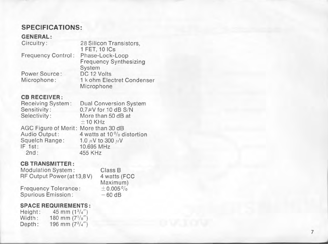# **SPECIFICATlONS:**

#### **GENERAL :**

| Circuitry:         | 28 Silicon Transistors,       |
|--------------------|-------------------------------|
|                    | 1 FET, 10 ICs                 |
| Frequency Control: | Phase-Lock-Loop               |
|                    | <b>Frequency Synthesizing</b> |
|                    | System                        |
| Power Source:      | DC 12 Volts                   |
| Microphone:        | 1 k ohm Electret Condenser    |
|                    | Microphone                    |
|                    |                               |

#### **CB RECEI VER :**

| Receiving System:                    | <b>Dual Conversion System</b>                                                                                                                                                                                                                                                                                                                             |
|--------------------------------------|-----------------------------------------------------------------------------------------------------------------------------------------------------------------------------------------------------------------------------------------------------------------------------------------------------------------------------------------------------------|
| Sensitivity:                         | $0.7 \mu V$ for 10 dB S/N                                                                                                                                                                                                                                                                                                                                 |
| Selectivity:                         | More than 50 dB at<br>$±10$ KHz                                                                                                                                                                                                                                                                                                                           |
| AGC Figure of Merit: More than 30 dB |                                                                                                                                                                                                                                                                                                                                                           |
|                                      | $\Lambda$ and $\Lambda$ and $\Lambda$ and $\Lambda$ and $\Lambda$ and $\Lambda$ and $\Lambda$ and $\Lambda$ and $\Lambda$ and $\Lambda$ and $\Lambda$ and $\Lambda$ and $\Lambda$ and $\Lambda$ and $\Lambda$ and $\Lambda$ and $\Lambda$ and $\Lambda$ and $\Lambda$ and $\Lambda$ and $\Lambda$ and $\Lambda$ and $\Lambda$ and $\Lambda$ and $\Lambda$ |

Squelch Range:  $1.0 \mu$ V to 300  $\mu$ V<br>IF 1st:  $10.695$  MHz  $2nd: 10.695 MHz$ <br> $455 KHz$ 

Audio Output:  $4 \text{ watts at } 10\%$  distortion<br>Squelch Range:  $1.0 \mu\text{V}$  to 300  $\mu\text{V}$ 455 KHz

## **CB TRANSMITTER :**

Modulation System: RF Output Power (at 13 .8 V)

Glass B 4 watts (FCC<br>Maximum)  $± 0.005 %$  $-60$  dB

## **SPACE REQUIREMENTS:**

Frequency Tolerance: Spurious Emission :

| Height: | 45 mm $(1^{3}/4)$       |
|---------|-------------------------|
| Width:  | 180 mm $(7\frac{1}{8})$ |
| Depth:  | 196 mm $(7^3/4)$        |

J